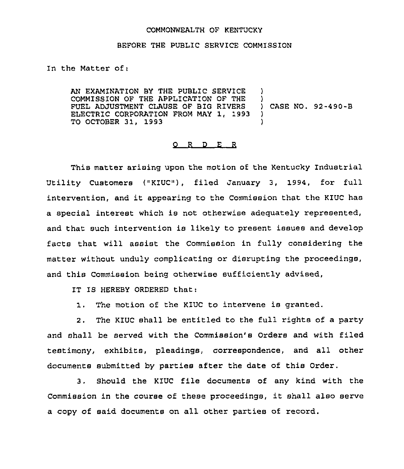## COMMONWEALTH OF KENTUCKY

## BEFORE THE PUBLIC SERVICE COMMISSION

In the Matter of;

AN EXAMINATION BY THE PUBLIC SERVICE ) COMMISSION OF THE APPLICATION OF THE ) FUEL ADJUSTMENT CLAUSE OF BIG RIVERS )<br>ELECTRIC CORPORATION FROM MAY 1, 1993 ) ELECTRIC CORPORATION FROM MAY 1, 1993 ) TO OCTOBER 31, 1993 )

## 0 <sup>R</sup> <sup>D</sup> E <sup>R</sup>

This matter arising upon the motion of the Kentucky Industrial Utility Customers ("KIUC"), filed January 3, 1994, for full intervention, and it appearing to the Commission that the KIUC has a special interest which is not otherwise adequately represented, and that such intervention is likely to present issues and develop facts that will assist the Commission in fully considering the matter without unduly complicating or disrupting the proceedings, and this Commission being otherwise sufficiently advised,

IT IS HEREBY ORDERED that:

1. The motion of the KIUC to intervene is granted.

2. The KIUC shall be entitled to the full rights of a party and shall be served with the Commission's Orders and with filed testimony, exhibits, pleadings, correspondence, and all other documents submitted by parties after the date of this Order.

3, Should the KIUC file documents of any kind with the Commission in the course of these proceedings, it shall also serve a copy of said documents on all other parties of record.